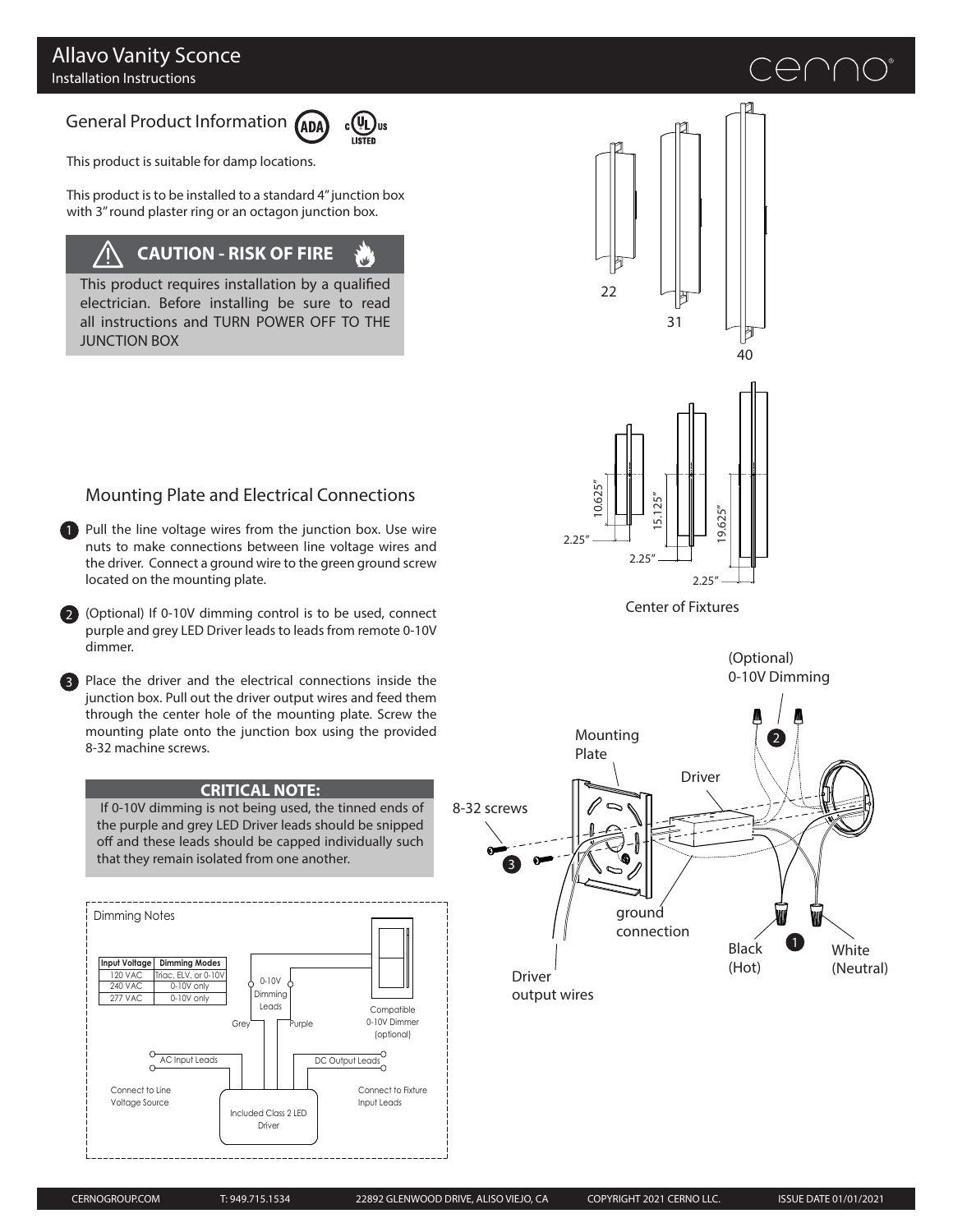## Allavo Vanity Sconce Installation Instructions

# General Product Information (ADA)



This product is suitable for damp locations.

This product is to be installed to a standard 4" junction box with 3" round plaster ring or an octagon junction box.

# **CAUTION - RISK OF FIRE**

This product requires installation by a qualified electrician. Before installing be sure to read all instructions and TURN POWER OFF TO THE JUNCTION BOX

# Mounting Plate and Electrical Connections

1 Pull the line voltage wires from the junction box. Use wire nuts to make connections between line voltage wires and the driver. Connect a ground wire to the green ground screw located on the mounting plate.

2 (Optional) If 0-10V dimming control is to be used, connect purple and grey LED Driver leads to leads from remote 0-10V dimmer.

3 Place the driver and the electrical connections inside the junction box. Pull out the driver output wires and feed them through the center hole of the mounting plate. Screw the mounting plate onto the junction box using the provided 8-32 machine screws.

### **CRITICAL NOTE:**

 If 0-10V dimming is not being used, the tinned ends of the purple and grey LED Driver leads should be snipped off and these leads should be capped individually such that they remain isolated from one another.







Center of Fixtures